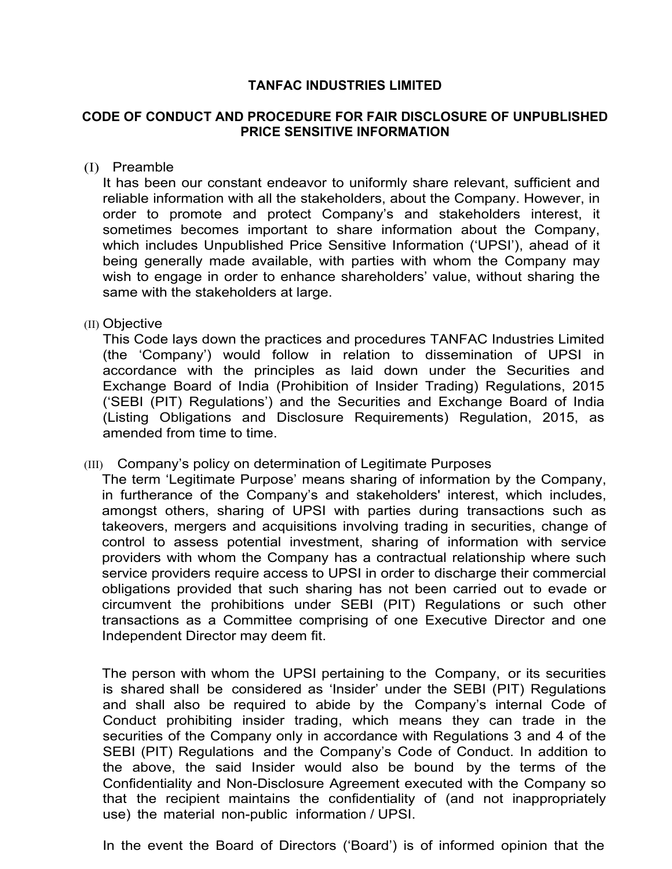# **TANFAC INDUSTRIES LIMITED**

### **CODE OF CONDUCT AND PROCEDURE FOR FAIR DISCLOSURE OF UNPUBLISHED PRICE SENSITIVE INFORMATION**

#### (I) Preamble

It has been our constant endeavor to uniformly share relevant, sufficient and reliable information with all the stakeholders, about the Company. However, in order to promote and protect Company's and stakeholders interest, it sometimes becomes important to share information about the Company, which includes Unpublished Price Sensitive Information ('UPSI'), ahead of it being generally made available, with parties with whom the Company may wish to engage in order to enhance shareholders' value, without sharing the same with the stakeholders at large.

### (II) Objective

This Code lays down the practices and procedures TANFAC Industries Limited (the 'Company') would follow in relation to dissemination of UPSI in accordance with the principles as laid down under the Securities and Exchange Board of India (Prohibition of Insider Trading) Regulations, 2015 ('SEBI (PIT) Regulations') and the Securities and Exchange Board of India (Listing Obligations and Disclosure Requirements) Regulation, 2015, as amended from time to time.

# (III) Company's policy on determination of Legitimate Purposes

The term 'Legitimate Purpose' means sharing of information by the Company, in furtherance of the Company's and stakeholders' interest, which includes, amongst others, sharing of UPSI with parties during transactions such as takeovers, mergers and acquisitions involving trading in securities, change of control to assess potential investment, sharing of information with service providers with whom the Company has a contractual relationship where such service providers require access to UPSI in order to discharge their commercial obligations provided that such sharing has not been carried out to evade or circumvent the prohibitions under SEBI (PIT) Regulations or such other transactions as a Committee comprising of one Executive Director and one Independent Director may deem fit.

The person with whom the UPSI pertaining to the Company, or its securities is shared shall be considered as 'Insider' under the SEBI (PIT) Regulations and shall also be required to abide by the Company's internal Code of Conduct prohibiting insider trading, which means they can trade in the securities of the Company only in accordance with Regulations 3 and 4 of the SEBI (PIT) Regulations and the Company's Code of Conduct. In addition to the above, the said Insider would also be bound by the terms of the Confidentiality and Non-Disclosure Agreement executed with the Company so that the recipient maintains the confidentiality of (and not inappropriately use) the material non-public information / UPSI.

In the event the Board of Directors ('Board') is of informed opinion that the